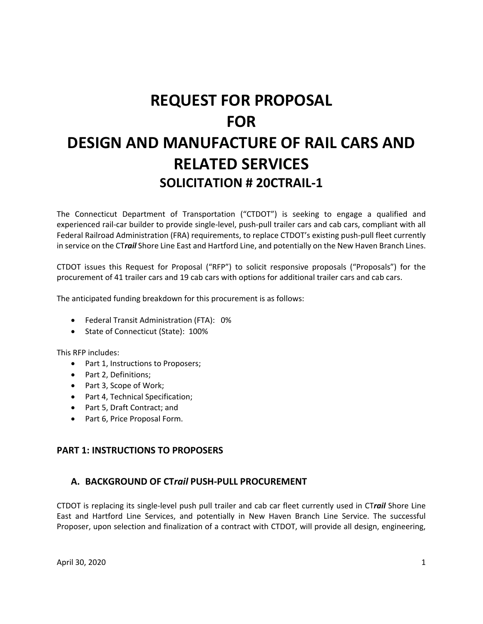# **REQUEST FOR PROPOSAL FOR DESIGN AND MANUFACTURE OF RAIL CARS AND RELATED SERVICES SOLICITATION # 20CTRAIL‐1**

The Connecticut Department of Transportation ("CTDOT") is seeking to engage a qualified and experienced rail‐car builder to provide single‐level, push‐pull trailer cars and cab cars, compliant with all Federal Railroad Administration (FRA) requirements, to replace CTDOT's existing push-pull fleet currently in service on the CT*rail* Shore Line East and Hartford Line, and potentially on the New Haven Branch Lines.

CTDOT issues this Request for Proposal ("RFP") to solicit responsive proposals ("Proposals") for the procurement of 41 trailer cars and 19 cab cars with options for additional trailer cars and cab cars.

The anticipated funding breakdown for this procurement is as follows:

- Federal Transit Administration (FTA): 0%
- State of Connecticut (State): 100%

This RFP includes:

- Part 1, Instructions to Proposers;
- Part 2, Definitions;
- Part 3, Scope of Work;
- Part 4, Technical Specification;
- Part 5, Draft Contract; and
- Part 6, Price Proposal Form.

#### **PART 1: INSTRUCTIONS TO PROPOSERS**

#### **A. BACKGROUND OF CT***rail* **PUSH‐PULL PROCUREMENT**

CTDOT is replacing its single‐level push pull trailer and cab car fleet currently used in CT*rail* Shore Line East and Hartford Line Services, and potentially in New Haven Branch Line Service. The successful Proposer, upon selection and finalization of a contract with CTDOT, will provide all design, engineering,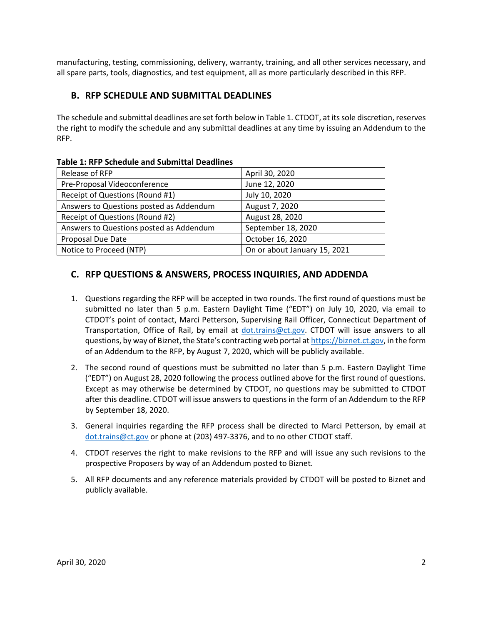manufacturing, testing, commissioning, delivery, warranty, training, and all other services necessary, and all spare parts, tools, diagnostics, and test equipment, all as more particularly described in this RFP.

# **B. RFP SCHEDULE AND SUBMITTAL DEADLINES**

The schedule and submittal deadlines are set forth below in Table 1. CTDOT, at its sole discretion, reserves the right to modify the schedule and any submittal deadlines at any time by issuing an Addendum to the RFP.

| Release of RFP                          | April 30, 2020               |
|-----------------------------------------|------------------------------|
| Pre-Proposal Videoconference            | June 12, 2020                |
| Receipt of Questions (Round #1)         | July 10, 2020                |
| Answers to Questions posted as Addendum | August 7, 2020               |
| Receipt of Questions (Round #2)         | August 28, 2020              |
| Answers to Questions posted as Addendum | September 18, 2020           |
| Proposal Due Date                       | October 16, 2020             |
| Notice to Proceed (NTP)                 | On or about January 15, 2021 |

#### **Table 1: RFP Schedule and Submittal Deadlines**

### **C. RFP QUESTIONS & ANSWERS, PROCESS INQUIRIES, AND ADDENDA**

- 1. Questions regarding the RFP will be accepted in two rounds. The first round of questions must be submitted no later than 5 p.m. Eastern Daylight Time ("EDT") on July 10, 2020, via email to CTDOT's point of contact, Marci Petterson, Supervising Rail Officer, Connecticut Department of Transportation, Office of Rail, by email at dot.trains@ct.gov. CTDOT will issue answers to all questions, by way of Biznet, the State's contracting web portal at https://biznet.ct.gov, in the form of an Addendum to the RFP, by August 7, 2020, which will be publicly available.
- 2. The second round of questions must be submitted no later than 5 p.m. Eastern Daylight Time ("EDT") on August 28, 2020 following the process outlined above for the first round of questions. Except as may otherwise be determined by CTDOT, no questions may be submitted to CTDOT after this deadline. CTDOT will issue answers to questions in the form of an Addendum to the RFP by September 18, 2020.
- 3. General inquiries regarding the RFP process shall be directed to Marci Petterson, by email at dot.trains@ct.gov or phone at (203) 497‐3376, and to no other CTDOT staff.
- 4. CTDOT reserves the right to make revisions to the RFP and will issue any such revisions to the prospective Proposers by way of an Addendum posted to Biznet.
- 5. All RFP documents and any reference materials provided by CTDOT will be posted to Biznet and publicly available.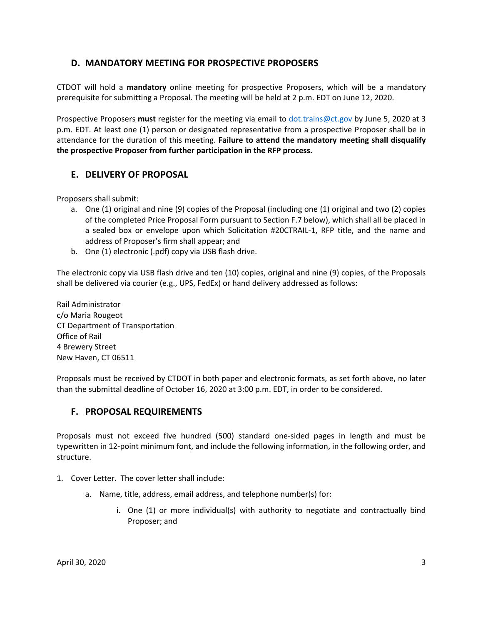### **D. MANDATORY MEETING FOR PROSPECTIVE PROPOSERS**

CTDOT will hold a **mandatory**  online meeting for prospective Proposers, which will be a mandatory prerequisite for submitting a Proposal. The meeting will be held at 2 p.m. EDT on June 12, 2020.

Prospective Proposers **must** register for the meeting via email to dot.trains@ct.gov by June 5, 2020 at 3 p.m. EDT. At least one (1) person or designated representative from a prospective Proposer shall be in attendance for the duration of this meeting. **Failure to attend the mandatory meeting shall disqualify the prospective Proposer from further participation in the RFP process.** 

# **E. DELIVERY OF PROPOSAL**

Proposers shall submit:

- a. One (1) original and nine (9) copies of the Proposal (including one (1) original and two (2) copies of the completed Price Proposal Form pursuant to Section F.7 below), which shall all be placed in a sealed box or envelope upon which Solicitation #20CTRAIL‐1, RFP title, and the name and address of Proposer's firm shall appear; and
- b. One (1) electronic (.pdf) copy via USB flash drive.

The electronic copy via USB flash drive and ten (10) copies, original and nine (9) copies, of the Proposals shall be delivered via courier (e.g., UPS, FedEx) or hand delivery addressed as follows:

Rail Administrator c/o Maria Rougeot CT Department of Transportation Office of Rail 4 Brewery Street New Haven, CT 06511

Proposals must be received by CTDOT in both paper and electronic formats, as set forth above, no later than the submittal deadline of October 16, 2020 at 3:00 p.m. EDT, in order to be considered.

### **F. PROPOSAL REQUIREMENTS**

Proposals must not exceed five hundred (500) standard one‐sided pages in length and must be typewritten in 12‐point minimum font, and include the following information, in the following order, and structure.

- 1. Cover Letter. The cover letter shall include:
	- a. Name, title, address, email address, and telephone number(s) for:
		- i. One (1) or more individual(s) with authority to negotiate and contractually bind Proposer; and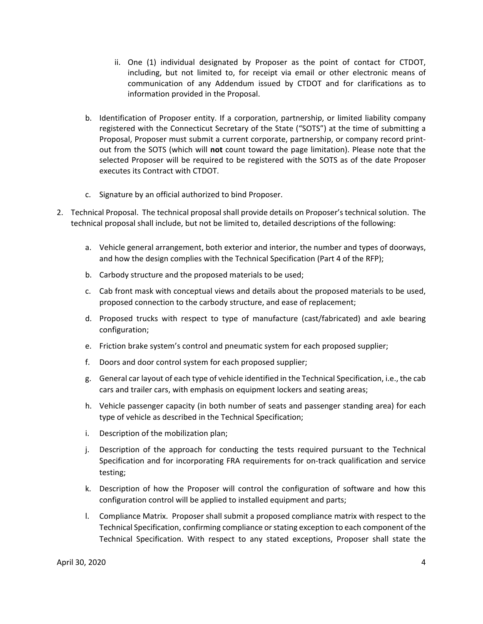- ii. One (1) individual designated by Proposer as the point of contact for CTDOT, including, but not limited to, for receipt via email or other electronic means of communication of any Addendum issued by CTDOT and for clarifications as to information provided in the Proposal.
- b. Identification of Proposer entity. If a corporation, partnership, or limited liability company registered with the Connecticut Secretary of the State ("SOTS") at the time of submitting a Proposal, Proposer must submit a current corporate, partnership, or company record print‐ out from the SOTS (which will **not** count toward the page limitation). Please note that the selected Proposer will be required to be registered with the SOTS as of the date Proposer executes its Contract with CTDOT.
- c. Signature by an official authorized to bind Proposer.
- 2. Technical Proposal. The technical proposal shall provide details on Proposer's technical solution. The technical proposal shall include, but not be limited to, detailed descriptions of the following:
	- a. Vehicle general arrangement, both exterior and interior, the number and types of doorways, and how the design complies with the Technical Specification (Part 4 of the RFP);
	- b. Carbody structure and the proposed materials to be used;
	- c. Cab front mask with conceptual views and details about the proposed materials to be used, proposed connection to the carbody structure, and ease of replacement;
	- d. Proposed trucks with respect to type of manufacture (cast/fabricated) and axle bearing configuration;
	- e. Friction brake system's control and pneumatic system for each proposed supplier;
	- f. Doors and door control system for each proposed supplier;
	- g. General car layout of each type of vehicle identified in the Technical Specification, i.e., the cab cars and trailer cars, with emphasis on equipment lockers and seating areas;
	- h. Vehicle passenger capacity (in both number of seats and passenger standing area) for each type of vehicle as described in the Technical Specification;
	- i. Description of the mobilization plan;
	- j. Description of the approach for conducting the tests required pursuant to the Technical Specification and for incorporating FRA requirements for on-track qualification and service testing;
	- k. Description of how the Proposer will control the configuration of software and how this configuration control will be applied to installed equipment and parts;
	- l. Compliance Matrix. Proposer shall submit a proposed compliance matrix with respect to the Technical Specification, confirming compliance or stating exception to each component of the Technical Specification. With respect to any stated exceptions, Proposer shall state the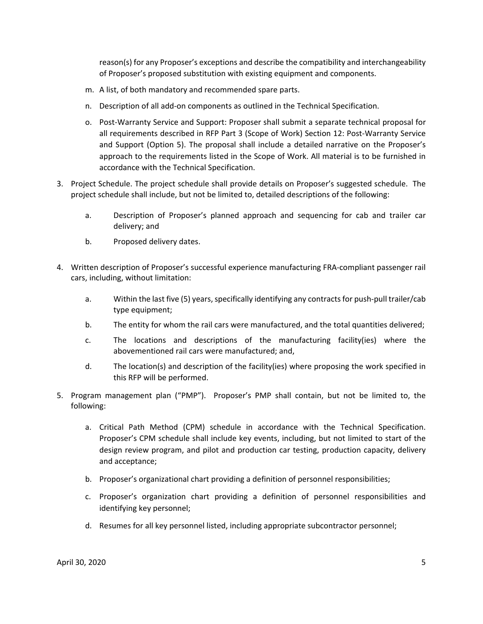reason(s) for any Proposer's exceptions and describe the compatibility and interchangeability of Proposer's proposed substitution with existing equipment and components.

- m. A list, of both mandatory and recommended spare parts.
- n. Description of all add‐on components as outlined in the Technical Specification.
- o. Post‐Warranty Service and Support: Proposer shall submit a separate technical proposal for all requirements described in RFP Part 3 (Scope of Work) Section 12: Post‐Warranty Service and Support (Option 5). The proposal shall include a detailed narrative on the Proposer's approach to the requirements listed in the Scope of Work. All material is to be furnished in accordance with the Technical Specification.
- 3. Project Schedule. The project schedule shall provide details on Proposer's suggested schedule. The project schedule shall include, but not be limited to, detailed descriptions of the following:
	- a. Description of Proposer's planned approach and sequencing for cab and trailer car delivery; and
	- b. Proposed delivery dates.
- 4. Written description of Proposer's successful experience manufacturing FRA‐compliant passenger rail cars, including, without limitation:
	- a. Within the last five (5) years, specifically identifying any contracts for push-pull trailer/cab type equipment;
	- b. The entity for whom the rail cars were manufactured, and the total quantities delivered;
	- c. The locations and descriptions of the manufacturing facility(ies) where the abovementioned rail cars were manufactured; and,
	- d. The location(s) and description of the facility(ies) where proposing the work specified in this RFP will be performed.
- 5. Program management plan ("PMP"). Proposer's PMP shall contain, but not be limited to, the following:
	- a. Critical Path Method (CPM) schedule in accordance with the Technical Specification. Proposer's CPM schedule shall include key events, including, but not limited to start of the design review program, and pilot and production car testing, production capacity, delivery and acceptance;
	- b. Proposer's organizational chart providing a definition of personnel responsibilities;
	- c. Proposer's organization chart providing a definition of personnel responsibilities and identifying key personnel;
	- d. Resumes for all key personnel listed, including appropriate subcontractor personnel;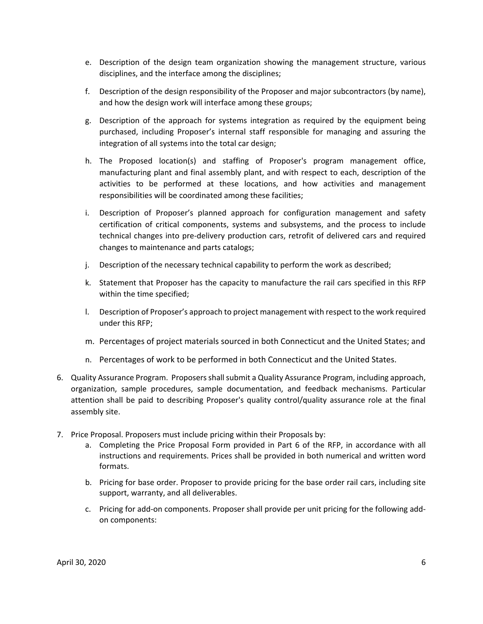- e. Description of the design team organization showing the management structure, various disciplines, and the interface among the disciplines;
- f. Description of the design responsibility of the Proposer and major subcontractors (by name), and how the design work will interface among these groups;
- g. Description of the approach for systems integration as required by the equipment being purchased, including Proposer's internal staff responsible for managing and assuring the integration of all systems into the total car design;
- h. The Proposed location(s) and staffing of Proposer's program management office, manufacturing plant and final assembly plant, and with respect to each, description of the activities to be performed at these locations, and how activities and management responsibilities will be coordinated among these facilities;
- i. Description of Proposer's planned approach for configuration management and safety certification of critical components, systems and subsystems, and the process to include technical changes into pre‐delivery production cars, retrofit of delivered cars and required changes to maintenance and parts catalogs;
- j. Description of the necessary technical capability to perform the work as described;
- k. Statement that Proposer has the capacity to manufacture the rail cars specified in this RFP within the time specified;
- l. Description of Proposer's approach to project management with respect to the work required under this RFP;
- m. Percentages of project materials sourced in both Connecticut and the United States; and
- n. Percentages of work to be performed in both Connecticut and the United States.
- 6. Quality Assurance Program. Proposers shall submit a Quality Assurance Program, including approach, organization, sample procedures, sample documentation, and feedback mechanisms. Particular attention shall be paid to describing Proposer's quality control/quality assurance role at the final assembly site.
- 7. Price Proposal. Proposers must include pricing within their Proposals by:
	- a. Completing the Price Proposal Form provided in Part 6 of the RFP, in accordance with all instructions and requirements. Prices shall be provided in both numerical and written word formats.
	- b. Pricing for base order. Proposer to provide pricing for the base order rail cars, including site support, warranty, and all deliverables.
	- c. Pricing for add‐on components. Proposer shall provide per unit pricing for the following add‐ on components: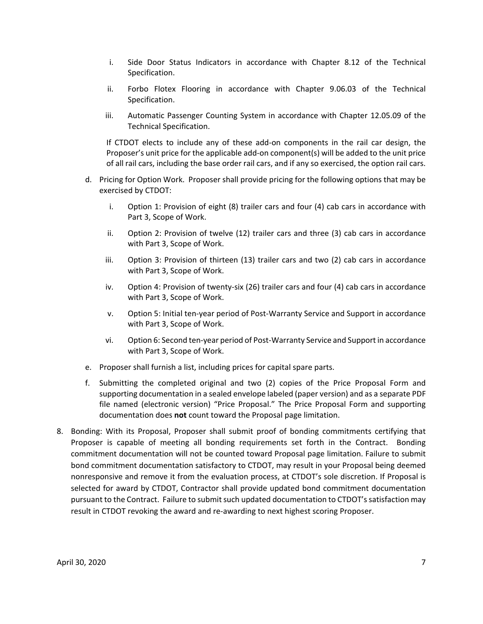- i. Side Door Status Indicators in accordance with Chapter 8.12 of the Technical Specification.
- ii. Forbo Flotex Flooring in accordance with Chapter 9.06.03 of the Technical Specification.
- iii. Automatic Passenger Counting System in accordance with Chapter 12.05.09 of the Technical Specification.

If CTDOT elects to include any of these add-on components in the rail car design, the Proposer's unit price for the applicable add‐on component(s) will be added to the unit price of all rail cars, including the base order rail cars, and if any so exercised, the option rail cars.

- d. Pricing for Option Work. Proposer shall provide pricing for the following options that may be exercised by CTDOT:
	- i. Option 1: Provision of eight (8) trailer cars and four (4) cab cars in accordance with Part 3, Scope of Work.
	- ii. Option 2: Provision of twelve (12) trailer cars and three (3) cab cars in accordance with Part 3, Scope of Work.
	- iii. Option 3: Provision of thirteen (13) trailer cars and two (2) cab cars in accordance with Part 3, Scope of Work.
	- iv. Option 4: Provision of twenty‐six (26) trailer cars and four (4) cab cars in accordance with Part 3, Scope of Work.
	- v. Option 5: Initial ten‐year period of Post‐Warranty Service and Support in accordance with Part 3, Scope of Work.
	- vi. Option 6: Second ten‐year period of Post‐Warranty Service and Support in accordance with Part 3, Scope of Work.
- e. Proposer shall furnish a list, including prices for capital spare parts.
- f. Submitting the completed original and two (2) copies of the Price Proposal Form and supporting documentation in a sealed envelope labeled (paper version) and as a separate PDF file named (electronic version) "Price Proposal." The Price Proposal Form and supporting documentation does **not** count toward the Proposal page limitation.
- 8. Bonding: With its Proposal, Proposer shall submit proof of bonding commitments certifying that Proposer is capable of meeting all bonding requirements set forth in the Contract. Bonding commitment documentation will not be counted toward Proposal page limitation. Failure to submit bond commitment documentation satisfactory to CTDOT, may result in your Proposal being deemed nonresponsive and remove it from the evaluation process, at CTDOT's sole discretion. If Proposal is selected for award by CTDOT, Contractor shall provide updated bond commitment documentation pursuant to the Contract. Failure to submit such updated documentation to CTDOT's satisfaction may result in CTDOT revoking the award and re‐awarding to next highest scoring Proposer.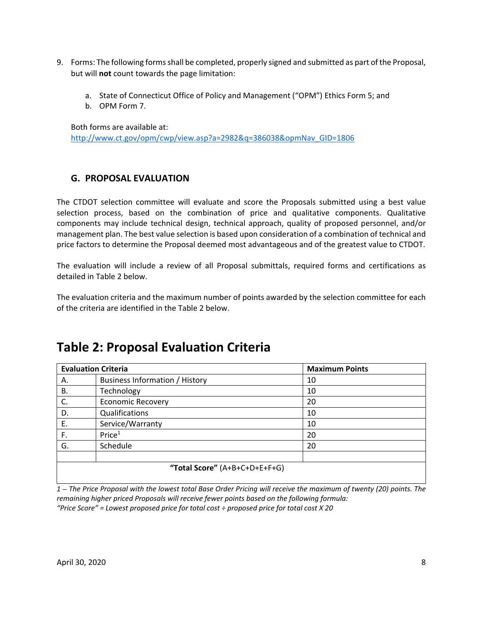- 9. Forms: The following forms shall be completed, properly signed and submitted as part of the Proposal, but will **not** count towards the page limitation:
	- a. State of Connecticut Office of Policy and Management ("OPM") Ethics Form 5; and
	- b. OPM Form 7.

Both forms are available at: http://www.ct.gov/opm/cwp/view.asp?a=2982&q=386038&opmNav\_GID=1806

### **G. PROPOSAL EVALUATION**

The CTDOT selection committee will evaluate and score the Proposals submitted using a best value selection process, based on the combination of price and qualitative components. Qualitative components may include technical design, technical approach, quality of proposed personnel, and/or management plan. The best value selection is based upon consideration of a combination of technical and price factors to determine the Proposal deemed most advantageous and of the greatest value to CTDOT.

The evaluation will include a review of all Proposal submittals, required forms and certifications as detailed in Table 2 below.

The evaluation criteria and the maximum number of points awarded by the selection committee for each of the criteria are identified in the Table 2 below.

# **Table 2: Proposal Evaluation Criteria**

| <b>Evaluation Criteria</b>    |                                       | <b>Maximum Points</b> |
|-------------------------------|---------------------------------------|-----------------------|
| А.                            | <b>Business Information / History</b> | 10                    |
| В.                            | Technology                            | 10                    |
| C.                            | <b>Economic Recovery</b>              | 20                    |
| D.                            | Qualifications                        | 10                    |
| Ε.                            | Service/Warranty                      | 10                    |
| F.                            | Price <sup>1</sup>                    | 20                    |
| G.                            | Schedule                              | 20                    |
|                               |                                       |                       |
| "Total Score" (A+B+C+D+E+F+G) |                                       |                       |

*1 – The Price Proposal with the lowest total Base Order Pricing will receive the maximum of twenty (20) points. The remaining higher priced Proposals will receive fewer points based on the following formula: "Price Score" = Lowest proposed price for total cost ÷ proposed price for total cost X 20*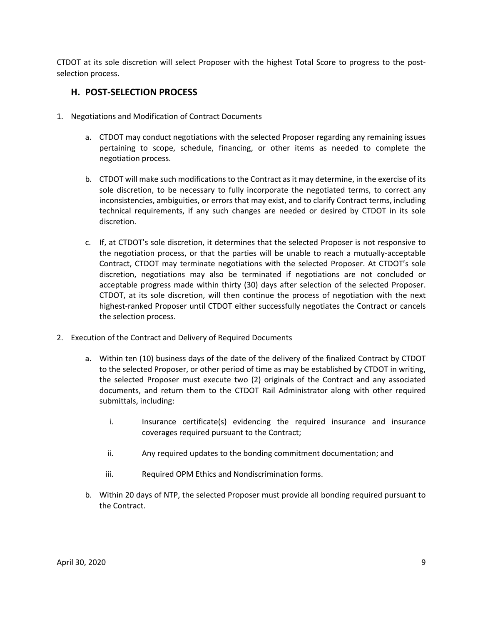CTDOT at its sole discretion will select Proposer with the highest Total Score to progress to the post‐ selection process.

#### **H. POST‐SELECTION PROCESS**

- 1. Negotiations and Modification of Contract Documents
	- a. CTDOT may conduct negotiations with the selected Proposer regarding any remaining issues pertaining to scope, schedule, financing, or other items as needed to complete the negotiation process.
	- b. CTDOT will make such modifications to the Contract as it may determine, in the exercise of its sole discretion, to be necessary to fully incorporate the negotiated terms, to correct any inconsistencies, ambiguities, or errors that may exist, and to clarify Contract terms, including technical requirements, if any such changes are needed or desired by CTDOT in its sole discretion.
	- c. If, at CTDOT's sole discretion, it determines that the selected Proposer is not responsive to the negotiation process, or that the parties will be unable to reach a mutually‐acceptable Contract, CTDOT may terminate negotiations with the selected Proposer. At CTDOT's sole discretion, negotiations may also be terminated if negotiations are not concluded or acceptable progress made within thirty (30) days after selection of the selected Proposer. CTDOT, at its sole discretion, will then continue the process of negotiation with the next highest-ranked Proposer until CTDOT either successfully negotiates the Contract or cancels the selection process.
- 2. Execution of the Contract and Delivery of Required Documents
	- a. Within ten (10) business days of the date of the delivery of the finalized Contract by CTDOT to the selected Proposer, or other period of time as may be established by CTDOT in writing, the selected Proposer must execute two (2) originals of the Contract and any associated documents, and return them to the CTDOT Rail Administrator along with other required submittals, including:
		- i. Insurance certificate(s) evidencing the required insurance and insurance coverages required pursuant to the Contract;
		- ii. Any required updates to the bonding commitment documentation; and
		- iii. Required OPM Ethics and Nondiscrimination forms.
	- b. Within 20 days of NTP, the selected Proposer must provide all bonding required pursuant to the Contract.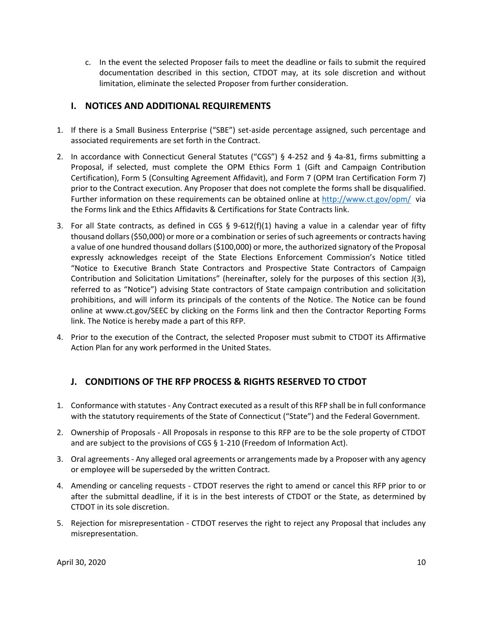c. In the event the selected Proposer fails to meet the deadline or fails to submit the required documentation described in this section, CTDOT may, at its sole discretion and without limitation, eliminate the selected Proposer from further consideration.

### **I. NOTICES AND ADDITIONAL REQUIREMENTS**

- 1. If there is a Small Business Enterprise ("SBE") set‐aside percentage assigned, such percentage and associated requirements are set forth in the Contract.
- 2. In accordance with Connecticut General Statutes ("CGS") § 4-252 and § 4a-81, firms submitting a Proposal, if selected, must complete the OPM Ethics Form 1 (Gift and Campaign Contribution Certification), Form 5 (Consulting Agreement Affidavit), and Form 7 (OPM Iran Certification Form 7) prior to the Contract execution. Any Proposer that does not complete the forms shall be disqualified. Further information on these requirements can be obtained online at http://www.ct.gov/opm/ via the Forms link and the Ethics Affidavits & Certifications for State Contracts link.
- 3. For all State contracts, as defined in CGS  $\S$  9-612(f)(1) having a value in a calendar year of fifty thousand dollars (\$50,000) or more or a combination or series of such agreements or contracts having a value of one hundred thousand dollars (\$100,000) or more, the authorized signatory of the Proposal expressly acknowledges receipt of the State Elections Enforcement Commission's Notice titled "Notice to Executive Branch State Contractors and Prospective State Contractors of Campaign Contribution and Solicitation Limitations" (hereinafter, solely for the purposes of this section J(3), referred to as "Notice") advising State contractors of State campaign contribution and solicitation prohibitions, and will inform its principals of the contents of the Notice. The Notice can be found online at www.ct.gov/SEEC by clicking on the Forms link and then the Contractor Reporting Forms link. The Notice is hereby made a part of this RFP.
- 4. Prior to the execution of the Contract, the selected Proposer must submit to CTDOT its Affirmative Action Plan for any work performed in the United States.

# **J. CONDITIONS OF THE RFP PROCESS & RIGHTS RESERVED TO CTDOT**

- 1. Conformance with statutes ‐ Any Contract executed as a result of this RFP shall be in full conformance with the statutory requirements of the State of Connecticut ("State") and the Federal Government.
- 2. Ownership of Proposals ‐ All Proposals in response to this RFP are to be the sole property of CTDOT and are subject to the provisions of CGS § 1-210 (Freedom of Information Act).
- 3. Oral agreements ‐ Any alleged oral agreements or arrangements made by a Proposer with any agency or employee will be superseded by the written Contract.
- 4. Amending or canceling requests ‐ CTDOT reserves the right to amend or cancel this RFP prior to or after the submittal deadline, if it is in the best interests of CTDOT or the State, as determined by CTDOT in its sole discretion.
- 5. Rejection for misrepresentation CTDOT reserves the right to reject any Proposal that includes any misrepresentation.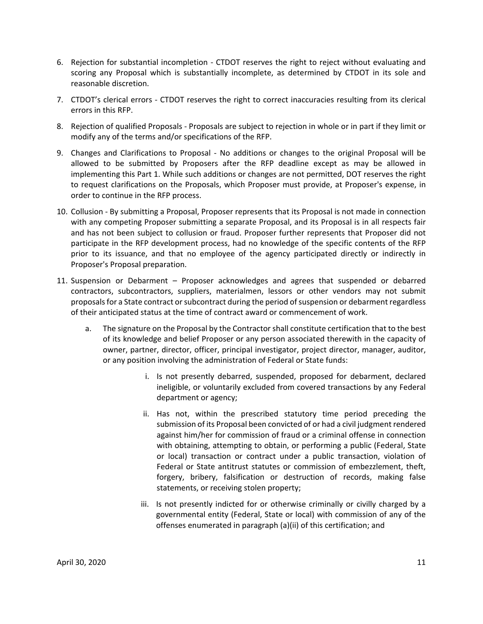- 6. Rejection for substantial incompletion CTDOT reserves the right to reject without evaluating and scoring any Proposal which is substantially incomplete, as determined by CTDOT in its sole and reasonable discretion.
- 7. CTDOT's clerical errors CTDOT reserves the right to correct inaccuracies resulting from its clerical errors in this RFP.
- 8. Rejection of qualified Proposals ‐ Proposals are subject to rejection in whole or in part if they limit or modify any of the terms and/or specifications of the RFP.
- 9. Changes and Clarifications to Proposal ‐ No additions or changes to the original Proposal will be allowed to be submitted by Proposers after the RFP deadline except as may be allowed in implementing this Part 1. While such additions or changes are not permitted, DOT reserves the right to request clarifications on the Proposals, which Proposer must provide, at Proposer's expense, in order to continue in the RFP process.
- 10. Collusion ‐ By submitting a Proposal, Proposer represents that its Proposal is not made in connection with any competing Proposer submitting a separate Proposal, and its Proposal is in all respects fair and has not been subject to collusion or fraud. Proposer further represents that Proposer did not participate in the RFP development process, had no knowledge of the specific contents of the RFP prior to its issuance, and that no employee of the agency participated directly or indirectly in Proposer's Proposal preparation.
- 11. Suspension or Debarment Proposer acknowledges and agrees that suspended or debarred contractors, subcontractors, suppliers, materialmen, lessors or other vendors may not submit proposals for a State contract or subcontract during the period of suspension or debarment regardless of their anticipated status at the time of contract award or commencement of work.
	- a. The signature on the Proposal by the Contractor shall constitute certification that to the best of its knowledge and belief Proposer or any person associated therewith in the capacity of owner, partner, director, officer, principal investigator, project director, manager, auditor, or any position involving the administration of Federal or State funds:
		- i. Is not presently debarred, suspended, proposed for debarment, declared ineligible, or voluntarily excluded from covered transactions by any Federal department or agency;
		- ii. Has not, within the prescribed statutory time period preceding the submission of its Proposal been convicted of or had a civil judgment rendered against him/her for commission of fraud or a criminal offense in connection with obtaining, attempting to obtain, or performing a public (Federal, State or local) transaction or contract under a public transaction, violation of Federal or State antitrust statutes or commission of embezzlement, theft, forgery, bribery, falsification or destruction of records, making false statements, or receiving stolen property;
		- iii. Is not presently indicted for or otherwise criminally or civilly charged by a governmental entity (Federal, State or local) with commission of any of the offenses enumerated in paragraph (a)(ii) of this certification; and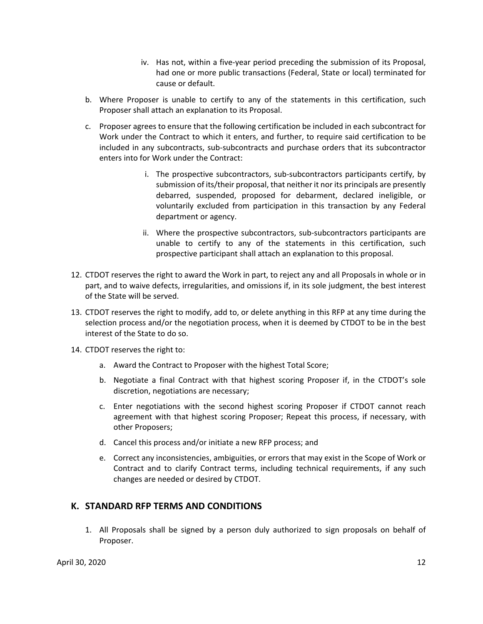- iv. Has not, within a five‐year period preceding the submission of its Proposal, had one or more public transactions (Federal, State or local) terminated for cause or default.
- b. Where Proposer is unable to certify to any of the statements in this certification, such Proposer shall attach an explanation to its Proposal.
- c. Proposer agrees to ensure that the following certification be included in each subcontract for Work under the Contract to which it enters, and further, to require said certification to be included in any subcontracts, sub‐subcontracts and purchase orders that its subcontractor enters into for Work under the Contract:
	- i. The prospective subcontractors, sub‐subcontractors participants certify, by submission of its/their proposal, that neither it nor its principals are presently debarred, suspended, proposed for debarment, declared ineligible, or voluntarily excluded from participation in this transaction by any Federal department or agency.
	- ii. Where the prospective subcontractors, sub‐subcontractors participants are unable to certify to any of the statements in this certification, such prospective participant shall attach an explanation to this proposal.
- 12. CTDOT reserves the right to award the Work in part, to reject any and all Proposals in whole or in part, and to waive defects, irregularities, and omissions if, in its sole judgment, the best interest of the State will be served.
- 13. CTDOT reserves the right to modify, add to, or delete anything in this RFP at any time during the selection process and/or the negotiation process, when it is deemed by CTDOT to be in the best interest of the State to do so.
- 14. CTDOT reserves the right to:
	- a. Award the Contract to Proposer with the highest Total Score;
	- b. Negotiate a final Contract with that highest scoring Proposer if, in the CTDOT's sole discretion, negotiations are necessary;
	- c. Enter negotiations with the second highest scoring Proposer if CTDOT cannot reach agreement with that highest scoring Proposer; Repeat this process, if necessary, with other Proposers;
	- d. Cancel this process and/or initiate a new RFP process; and
	- e. Correct any inconsistencies, ambiguities, or errors that may exist in the Scope of Work or Contract and to clarify Contract terms, including technical requirements, if any such changes are needed or desired by CTDOT.

#### **K. STANDARD RFP TERMS AND CONDITIONS**

1. All Proposals shall be signed by a person duly authorized to sign proposals on behalf of Proposer.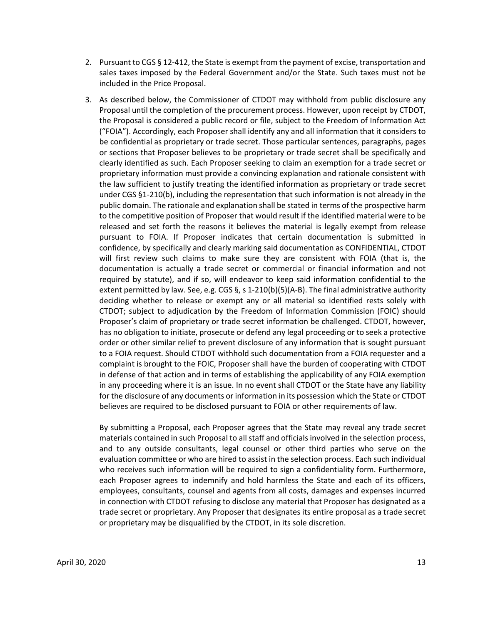- 2. Pursuant to CGS § 12‐412, the State is exempt from the payment of excise, transportation and sales taxes imposed by the Federal Government and/or the State. Such taxes must not be included in the Price Proposal.
- 3. As described below, the Commissioner of CTDOT may withhold from public disclosure any Proposal until the completion of the procurement process. However, upon receipt by CTDOT, the Proposal is considered a public record or file, subject to the Freedom of Information Act ("FOIA"). Accordingly, each Proposer shall identify any and all information that it considers to be confidential as proprietary or trade secret. Those particular sentences, paragraphs, pages or sections that Proposer believes to be proprietary or trade secret shall be specifically and clearly identified as such. Each Proposer seeking to claim an exemption for a trade secret or proprietary information must provide a convincing explanation and rationale consistent with the law sufficient to justify treating the identified information as proprietary or trade secret under CGS §1‐210(b), including the representation that such information is not already in the public domain. The rationale and explanation shall be stated in terms of the prospective harm to the competitive position of Proposer that would result if the identified material were to be released and set forth the reasons it believes the material is legally exempt from release pursuant to FOIA. If Proposer indicates that certain documentation is submitted in confidence, by specifically and clearly marking said documentation as CONFIDENTIAL, CTDOT will first review such claims to make sure they are consistent with FOIA (that is, the documentation is actually a trade secret or commercial or financial information and not required by statute), and if so, will endeavor to keep said information confidential to the extent permitted by law. See, e.g. CGS §, s 1-210(b)(5)(A-B). The final administrative authority deciding whether to release or exempt any or all material so identified rests solely with CTDOT; subject to adjudication by the Freedom of Information Commission (FOIC) should Proposer's claim of proprietary or trade secret information be challenged. CTDOT, however, has no obligation to initiate, prosecute or defend any legal proceeding or to seek a protective order or other similar relief to prevent disclosure of any information that is sought pursuant to a FOIA request. Should CTDOT withhold such documentation from a FOIA requester and a complaint is brought to the FOIC, Proposer shall have the burden of cooperating with CTDOT in defense of that action and in terms of establishing the applicability of any FOIA exemption in any proceeding where it is an issue. In no event shall CTDOT or the State have any liability for the disclosure of any documents or information in its possession which the State or CTDOT believes are required to be disclosed pursuant to FOIA or other requirements of law.

By submitting a Proposal, each Proposer agrees that the State may reveal any trade secret materials contained in such Proposal to all staff and officials involved in the selection process, and to any outside consultants, legal counsel or other third parties who serve on the evaluation committee or who are hired to assist in the selection process. Each such individual who receives such information will be required to sign a confidentiality form. Furthermore, each Proposer agrees to indemnify and hold harmless the State and each of its officers, employees, consultants, counsel and agents from all costs, damages and expenses incurred in connection with CTDOT refusing to disclose any material that Proposer has designated as a trade secret or proprietary. Any Proposer that designates its entire proposal as a trade secret or proprietary may be disqualified by the CTDOT, in its sole discretion.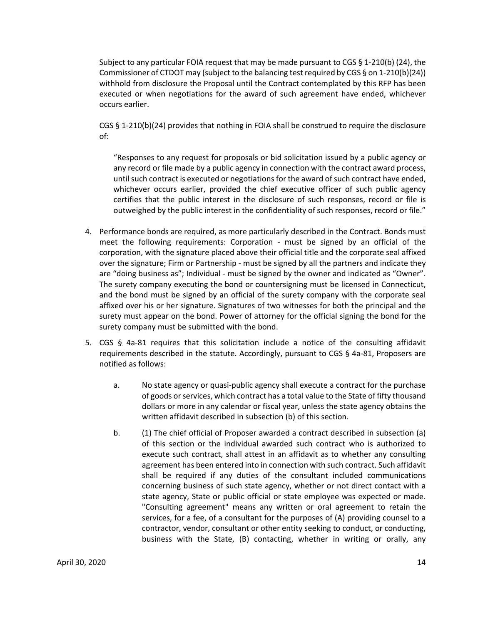Subject to any particular FOIA request that may be made pursuant to CGS  $\S$  1-210(b) (24), the Commissioner of CTDOT may (subject to the balancing test required by CGS § on 1‐210(b)(24)) withhold from disclosure the Proposal until the Contract contemplated by this RFP has been executed or when negotiations for the award of such agreement have ended, whichever occurs earlier.

CGS § 1-210(b)(24) provides that nothing in FOIA shall be construed to require the disclosure of:

"Responses to any request for proposals or bid solicitation issued by a public agency or any record or file made by a public agency in connection with the contract award process, until such contract is executed or negotiations for the award of such contract have ended, whichever occurs earlier, provided the chief executive officer of such public agency certifies that the public interest in the disclosure of such responses, record or file is outweighed by the public interest in the confidentiality of such responses, record or file."

- 4. Performance bonds are required, as more particularly described in the Contract. Bonds must meet the following requirements: Corporation - must be signed by an official of the corporation, with the signature placed above their official title and the corporate seal affixed over the signature; Firm or Partnership - must be signed by all the partners and indicate they are "doing business as"; Individual ‐ must be signed by the owner and indicated as "Owner". The surety company executing the bond or countersigning must be licensed in Connecticut, and the bond must be signed by an official of the surety company with the corporate seal affixed over his or her signature. Signatures of two witnesses for both the principal and the surety must appear on the bond. Power of attorney for the official signing the bond for the surety company must be submitted with the bond.
- 5. CGS  $\S$  4a-81 requires that this solicitation include a notice of the consulting affidavit requirements described in the statute. Accordingly, pursuant to CGS § 4a‐81, Proposers are notified as follows:
	- a. No state agency or quasi‐public agency shall execute a contract for the purchase of goods or services, which contract has a total value to the State of fifty thousand dollars or more in any calendar or fiscal year, unless the state agency obtains the written affidavit described in subsection (b) of this section.
	- b. (1) The chief official of Proposer awarded a contract described in subsection (a) of this section or the individual awarded such contract who is authorized to execute such contract, shall attest in an affidavit as to whether any consulting agreement has been entered into in connection with such contract. Such affidavit shall be required if any duties of the consultant included communications concerning business of such state agency, whether or not direct contact with a state agency, State or public official or state employee was expected or made. "Consulting agreement" means any written or oral agreement to retain the services, for a fee, of a consultant for the purposes of (A) providing counsel to a contractor, vendor, consultant or other entity seeking to conduct, or conducting, business with the State, (B) contacting, whether in writing or orally, any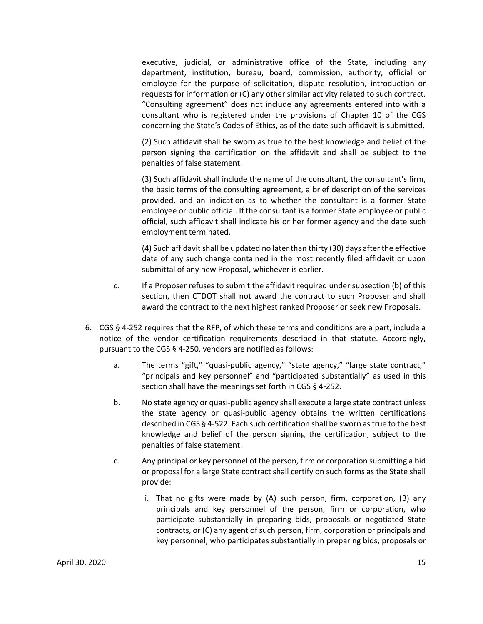executive, judicial, or administrative office of the State, including any department, institution, bureau, board, commission, authority, official or employee for the purpose of solicitation, dispute resolution, introduction or requests for information or (C) any other similar activity related to such contract. "Consulting agreement" does not include any agreements entered into with a consultant who is registered under the provisions of Chapter 10 of the CGS concerning the State's Codes of Ethics, as of the date such affidavit is submitted.

(2) Such affidavit shall be sworn as true to the best knowledge and belief of the person signing the certification on the affidavit and shall be subject to the penalties of false statement.

(3) Such affidavit shall include the name of the consultant, the consultant's firm, the basic terms of the consulting agreement, a brief description of the services provided, and an indication as to whether the consultant is a former State employee or public official. If the consultant is a former State employee or public official, such affidavit shall indicate his or her former agency and the date such employment terminated.

(4) Such affidavit shall be updated no later than thirty (30) days after the effective date of any such change contained in the most recently filed affidavit or upon submittal of any new Proposal, whichever is earlier.

- c. If a Proposer refuses to submit the affidavit required under subsection (b) of this section, then CTDOT shall not award the contract to such Proposer and shall award the contract to the next highest ranked Proposer or seek new Proposals.
- 6. CGS § 4‐252 requires that the RFP, of which these terms and conditions are a part, include a notice of the vendor certification requirements described in that statute. Accordingly, pursuant to the CGS § 4‐250, vendors are notified as follows:
	- a. The terms "gift," "quasi-public agency," "state agency," "large state contract," "principals and key personnel" and "participated substantially" as used in this section shall have the meanings set forth in CGS § 4‐252.
	- b. No state agency or quasi‐public agency shall execute a large state contract unless the state agency or quasi‐public agency obtains the written certifications described in CGS § 4‐522. Each such certification shall be sworn as true to the best knowledge and belief of the person signing the certification, subject to the penalties of false statement.
	- c. Any principal or key personnel of the person, firm or corporation submitting a bid or proposal for a large State contract shall certify on such forms as the State shall provide:
		- i. That no gifts were made by  $(A)$  such person, firm, corporation,  $(B)$  any principals and key personnel of the person, firm or corporation, who participate substantially in preparing bids, proposals or negotiated State contracts, or (C) any agent of such person, firm, corporation or principals and key personnel, who participates substantially in preparing bids, proposals or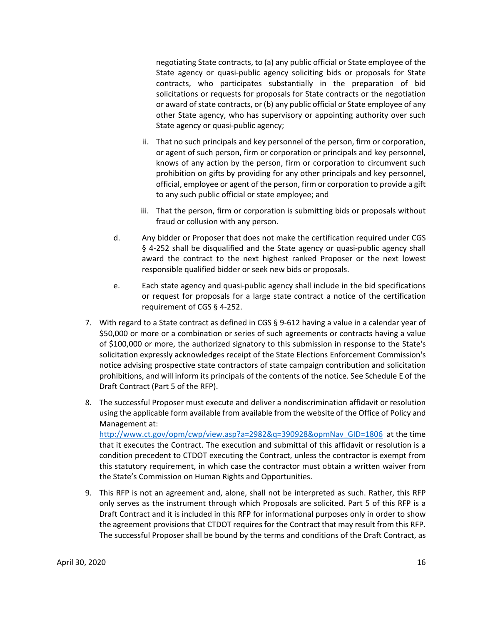negotiating State contracts, to (a) any public official or State employee of the State agency or quasi-public agency soliciting bids or proposals for State contracts, who participates substantially in the preparation of bid solicitations or requests for proposals for State contracts or the negotiation or award of state contracts, or (b) any public official or State employee of any other State agency, who has supervisory or appointing authority over such State agency or quasi-public agency;

- ii. That no such principals and key personnel of the person, firm or corporation, or agent of such person, firm or corporation or principals and key personnel, knows of any action by the person, firm or corporation to circumvent such prohibition on gifts by providing for any other principals and key personnel, official, employee or agent of the person, firm or corporation to provide a gift to any such public official or state employee; and
- iii. That the person, firm or corporation is submitting bids or proposals without fraud or collusion with any person.
- d. Any bidder or Proposer that does not make the certification required under CGS § 4‐252 shall be disqualified and the State agency or quasi‐public agency shall award the contract to the next highest ranked Proposer or the next lowest responsible qualified bidder or seek new bids or proposals.
- e. Each state agency and quasi‐public agency shall include in the bid specifications or request for proposals for a large state contract a notice of the certification requirement of CGS § 4‐252.
- 7. With regard to a State contract as defined in CGS § 9-612 having a value in a calendar year of \$50,000 or more or a combination or series of such agreements or contracts having a value of \$100,000 or more, the authorized signatory to this submission in response to the State's solicitation expressly acknowledges receipt of the State Elections Enforcement Commission's notice advising prospective state contractors of state campaign contribution and solicitation prohibitions, and will inform its principals of the contents of the notice. See Schedule E of the Draft Contract (Part 5 of the RFP).
- 8. The successful Proposer must execute and deliver a nondiscrimination affidavit or resolution using the applicable form available from available from the website of the Office of Policy and Management at:

http://www.ct.gov/opm/cwp/view.asp?a=2982&q=390928&opmNav\_GID=1806 at the time that it executes the Contract. The execution and submittal of this affidavit or resolution is a condition precedent to CTDOT executing the Contract, unless the contractor is exempt from this statutory requirement, in which case the contractor must obtain a written waiver from the State's Commission on Human Rights and Opportunities.

9. This RFP is not an agreement and, alone, shall not be interpreted as such. Rather, this RFP only serves as the instrument through which Proposals are solicited. Part 5 of this RFP is a Draft Contract and it is included in this RFP for informational purposes only in order to show the agreement provisions that CTDOT requires for the Contract that may result from this RFP. The successful Proposer shall be bound by the terms and conditions of the Draft Contract, as